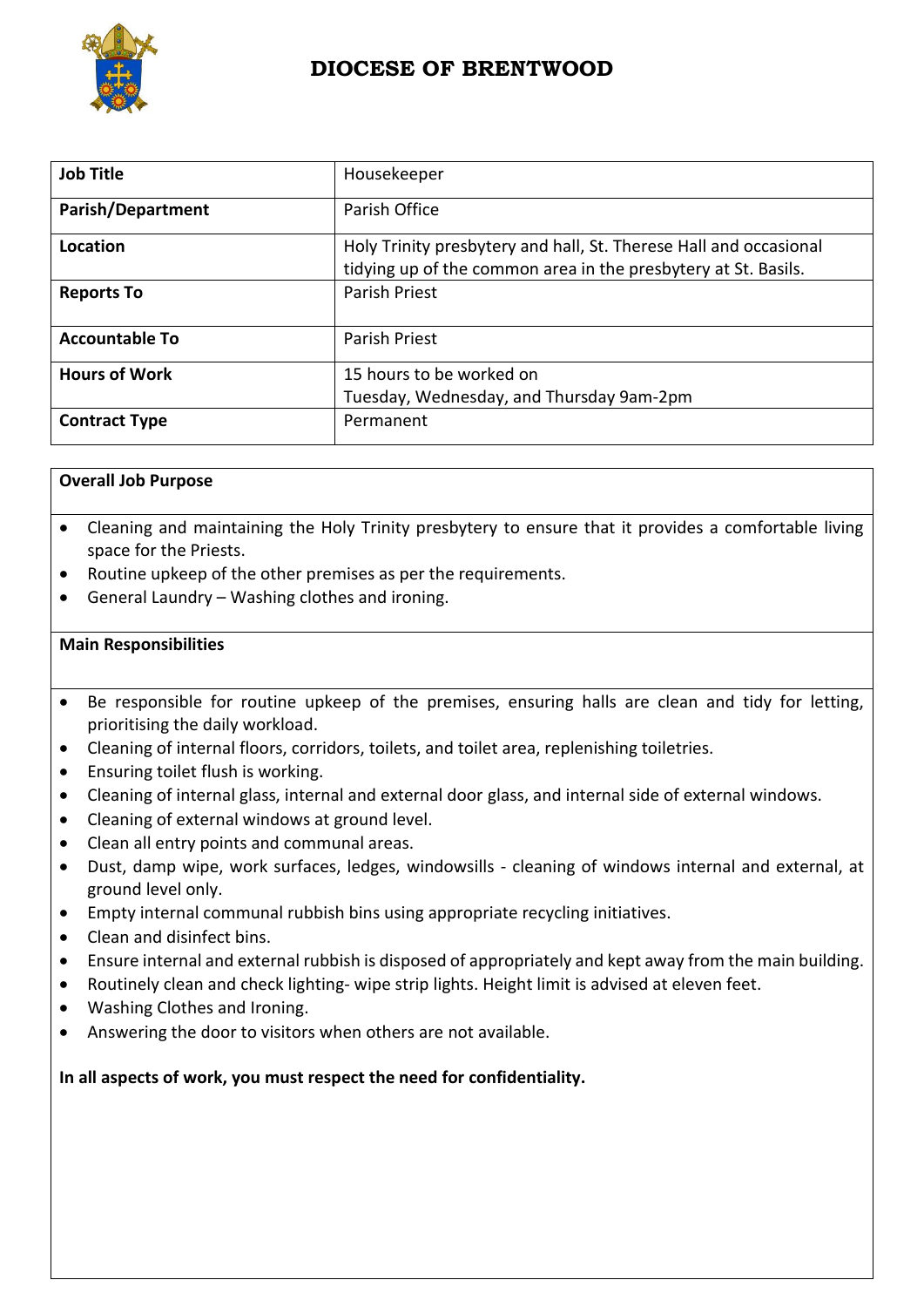

# **DIOCESE OF BRENTWOOD**

| <b>Job Title</b>         | Housekeeper                                                       |
|--------------------------|-------------------------------------------------------------------|
| <b>Parish/Department</b> | Parish Office                                                     |
| Location                 | Holy Trinity presbytery and hall, St. Therese Hall and occasional |
|                          | tidying up of the common area in the presbytery at St. Basils.    |
| <b>Reports To</b>        | Parish Priest                                                     |
| <b>Accountable To</b>    | Parish Priest                                                     |
| <b>Hours of Work</b>     | 15 hours to be worked on                                          |
|                          | Tuesday, Wednesday, and Thursday 9am-2pm                          |
| <b>Contract Type</b>     | Permanent                                                         |

# **Overall Job Purpose**

- Cleaning and maintaining the Holy Trinity presbytery to ensure that it provides a comfortable living space for the Priests.
- Routine upkeep of the other premises as per the requirements.
- General Laundry Washing clothes and ironing.

# **Main Responsibilities**

- Be responsible for routine upkeep of the premises, ensuring halls are clean and tidy for letting, prioritising the daily workload.
- Cleaning of internal floors, corridors, toilets, and toilet area, replenishing toiletries.
- Ensuring toilet flush is working.
- Cleaning of internal glass, internal and external door glass, and internal side of external windows.
- Cleaning of external windows at ground level.
- Clean all entry points and communal areas.
- Dust, damp wipe, work surfaces, ledges, windowsills cleaning of windows internal and external, at ground level only.
- Empty internal communal rubbish bins using appropriate recycling initiatives.
- Clean and disinfect bins.
- Ensure internal and external rubbish is disposed of appropriately and kept away from the main building.
- Routinely clean and check lighting- wipe strip lights. Height limit is advised at eleven feet.
- Washing Clothes and Ironing.
- Answering the door to visitors when others are not available.

**In all aspects of work, you must respect the need for confidentiality.**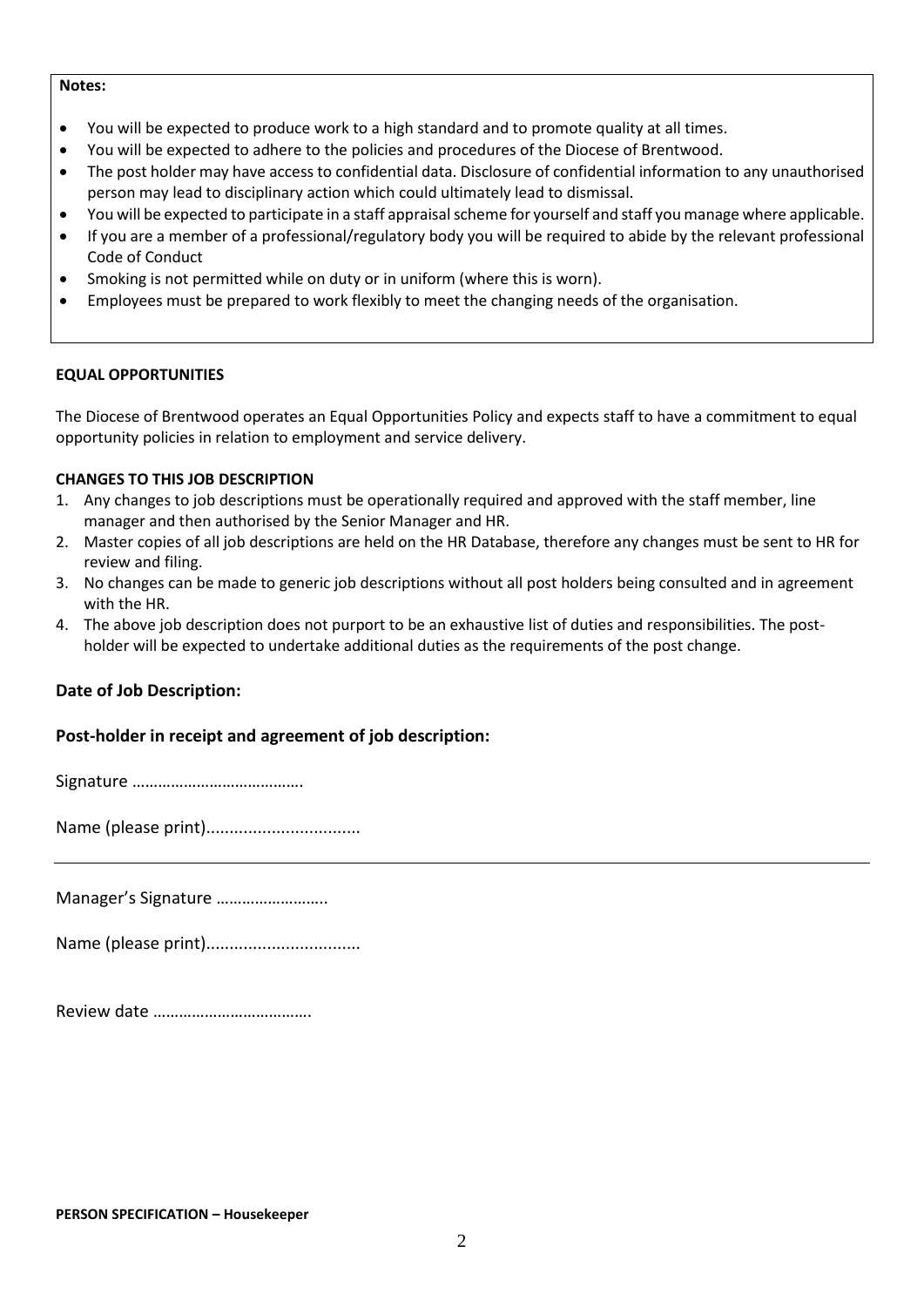#### **Notes:**

- You will be expected to produce work to a high standard and to promote quality at all times.
- You will be expected to adhere to the policies and procedures of the Diocese of Brentwood.
- The post holder may have access to confidential data. Disclosure of confidential information to any unauthorised person may lead to disciplinary action which could ultimately lead to dismissal.
- You will be expected to participate in a staff appraisal scheme for yourself and staff you manage where applicable.
- If you are a member of a professional/regulatory body you will be required to abide by the relevant professional Code of Conduct
- Smoking is not permitted while on duty or in uniform (where this is worn).
- Employees must be prepared to work flexibly to meet the changing needs of the organisation.

### **EQUAL OPPORTUNITIES**

The Diocese of Brentwood operates an Equal Opportunities Policy and expects staff to have a commitment to equal opportunity policies in relation to employment and service delivery.

### **CHANGES TO THIS JOB DESCRIPTION**

- 1. Any changes to job descriptions must be operationally required and approved with the staff member, line manager and then authorised by the Senior Manager and HR.
- 2. Master copies of all job descriptions are held on the HR Database, therefore any changes must be sent to HR for review and filing.
- 3. No changes can be made to generic job descriptions without all post holders being consulted and in agreement with the HR.
- 4. The above job description does not purport to be an exhaustive list of duties and responsibilities. The postholder will be expected to undertake additional duties as the requirements of the post change.

# **Date of Job Description:**

# **Post-holder in receipt and agreement of job description:**

Signature ………………………………….

Name (please print).................................

Manager's Signature ……………………..

Name (please print).................................

|--|--|